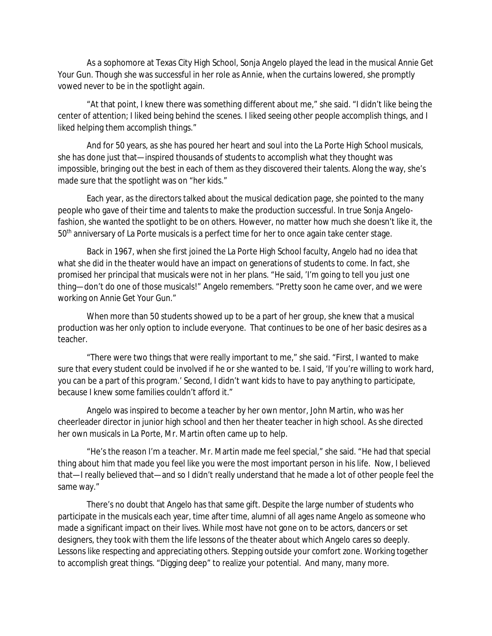As a sophomore at Texas City High School, Sonja Angelo played the lead in the musical *Annie Get Your Gun*. Though she was successful in her role as Annie, when the curtains lowered, she promptly vowed never to be in the spotlight again.

"At that point, I knew there was something different about me," she said. "I didn't like being the center of attention; I liked being behind the scenes. I liked seeing other people accomplish things, and I liked helping them accomplish things."

And for 50 years, as she has poured her heart and soul into the La Porte High School musicals, she has done just that—inspired thousands of students to accomplish what they thought was impossible, bringing out the best in each of them as they discovered their talents. Along the way, she's made sure that the spotlight was on "her kids."

Each year, as the directors talked about the musical dedication page, she pointed to the many people who gave of their time and talents to make the production successful. In true *Sonja Angelo*fashion, she wanted the spotlight to be on others. However, no matter how much she doesn't like it, the 50<sup>th</sup> anniversary of La Porte musicals is a perfect time for her to once again take center stage.

Back in 1967, when she first joined the La Porte High School faculty, Angelo had no idea that what she did in the theater would have an impact on generations of students to come. In fact, she promised her principal that musicals were not in her plans. "He said, 'I'm going to tell you just one thing—don't do one of those musicals!" Angelo remembers. "Pretty soon he came over, and we were working on *Annie Get Your Gun*."

When more than 50 students showed up to be a part of her group, she knew that a musical production was her only option to include everyone. That continues to be one of her basic desires as a teacher.

"There were two things that were really important to me," she said. "First, I wanted to make sure that every student could be involved if he or she wanted to be. I said, 'If you're willing to work hard, you can be a part of this program.' Second, I didn't want kids to have to pay anything to participate, because I knew some families couldn't afford it."

Angelo was inspired to become a teacher by her own mentor, John Martin, who was her cheerleader director in junior high school and then her theater teacher in high school. As she directed her own musicals in La Porte, Mr. Martin often came up to help.

"He's the reason I'm a teacher. Mr. Martin made me feel special," she said. "He had that special thing about him that made you feel like you were the most important person in his life. Now, I believed that—I really believed that—and so I didn't really understand that he made a lot of other people feel the same way."

There's no doubt that Angelo has that same gift. Despite the large number of students who participate in the musicals each year, time after time, alumni of all ages name Angelo as someone who made a significant impact on their lives. While most have not gone on to be actors, dancers or set designers, they took with them the life lessons of the theater about which Angelo cares so deeply. Lessons like respecting and appreciating others. Stepping outside your comfort zone. Working together to accomplish great things. "Digging deep" to realize your potential. And many, many more.